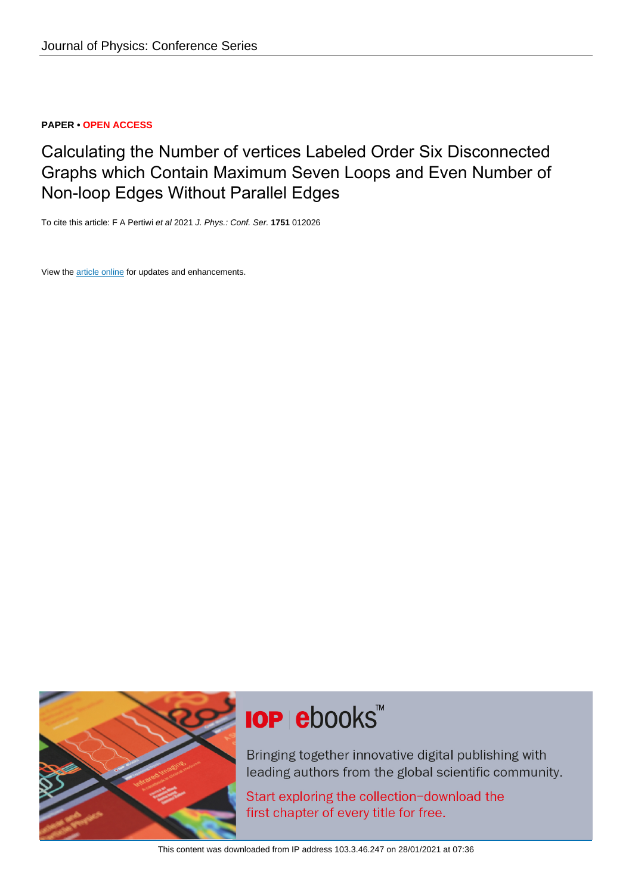## **PAPER • OPEN ACCESS**

# Calculating the Number of vertices Labeled Order Six Disconnected Graphs which Contain Maximum Seven Loops and Even Number of Non-loop Edges Without Parallel Edges

To cite this article: F A Pertiwi et al 2021 J. Phys.: Conf. Ser. **1751** 012026

View the [article online](https://doi.org/10.1088/1742-6596/1751/1/012026) for updates and enhancements.



# **IOP ebooks**™

Bringing together innovative digital publishing with leading authors from the global scientific community.

Start exploring the collection-download the first chapter of every title for free.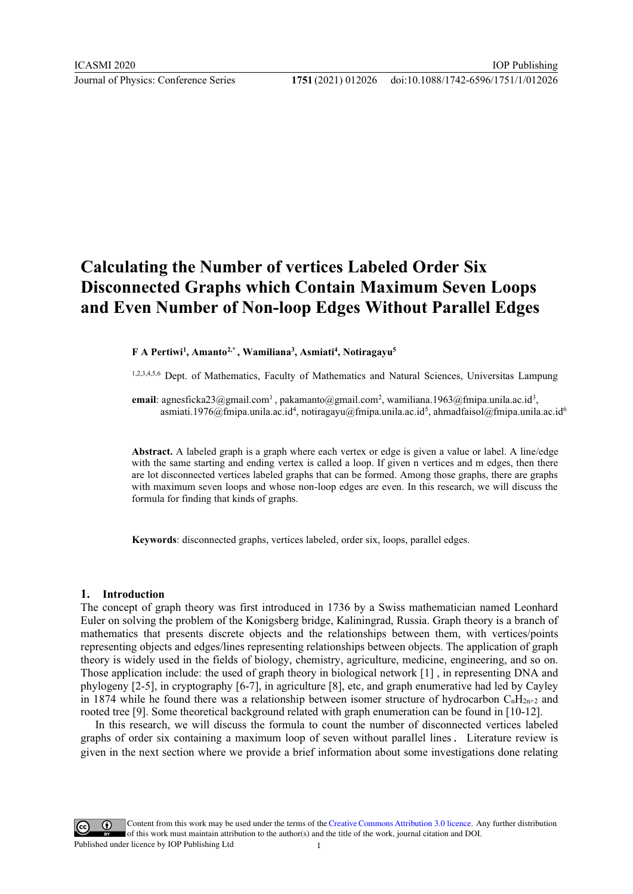# **Calculating the Number of vertices Labeled Order Six Disconnected Graphs which Contain Maximum Seven Loops and Even Number of Non-loop Edges Without Parallel Edges**

#### **F A Pertiwi1 , Amanto2,\* , Wamiliana3 , Asmiati4 , Notiragayu5**

1,2,3,4,5,6 Dept. of Mathematics, Faculty of Mathematics and Natural Sciences, Universitas Lampung

**email**: agnesficka23@gmail.com<sup>1</sup>, pakamanto@gmail.com<sup>2</sup>, wamiliana.1963@fmipa.unila.ac.id<sup>3</sup>, asmiati.1976@fmipa.unila.ac.id<sup>4</sup>, notiragayu@fmipa.unila.ac.id<sup>5</sup>, ahmadfaisol@fmipa.unila.ac.id<sup>6</sup>

**Abstract.** A labeled graph is a graph where each vertex or edge is given a value or label. A line/edge with the same starting and ending vertex is called a loop. If given n vertices and m edges, then there are lot disconnected vertices labeled graphs that can be formed. Among those graphs, there are graphs with maximum seven loops and whose non-loop edges are even. In this research, we will discuss the formula for finding that kinds of graphs.

**Keywords**: disconnected graphs, vertices labeled, order six, loops, parallel edges.

#### **1. Introduction**

The concept of graph theory was first introduced in 1736 by a Swiss mathematician named Leonhard Euler on solving the problem of the Konigsberg bridge, Kaliningrad, Russia. Graph theory is a branch of mathematics that presents discrete objects and the relationships between them, with vertices/points representing objects and edges/lines representing relationships between objects. The application of graph theory is widely used in the fields of biology, chemistry, agriculture, medicine, engineering, and so on. Those application include: the used of graph theory in biological network [1] , in representing DNA and phylogeny [2-5], in cryptography [6-7], in agriculture [8], etc, and graph enumerative had led by Cayley in 1874 while he found there was a relationship between isomer structure of hydrocarbon  $C_nH_{2n+2}$  and rooted tree [9]. Some theoretical background related with graph enumeration can be found in [10-12].

 In this research, we will discuss the formula to count the number of disconnected vertices labeled graphs of order six containing a maximum loop of seven without parallel lines. Literature review is given in the next section where we provide a brief information about some investigations done relating

Content from this work may be used under the terms of theCreative Commons Attribution 3.0 licence. Any further distribution  $\left( \cdot \right)$ of this work must maintain attribution to the author(s) and the title of the work, journal citation and DOI. Published under licence by IOP Publishing Ltd 1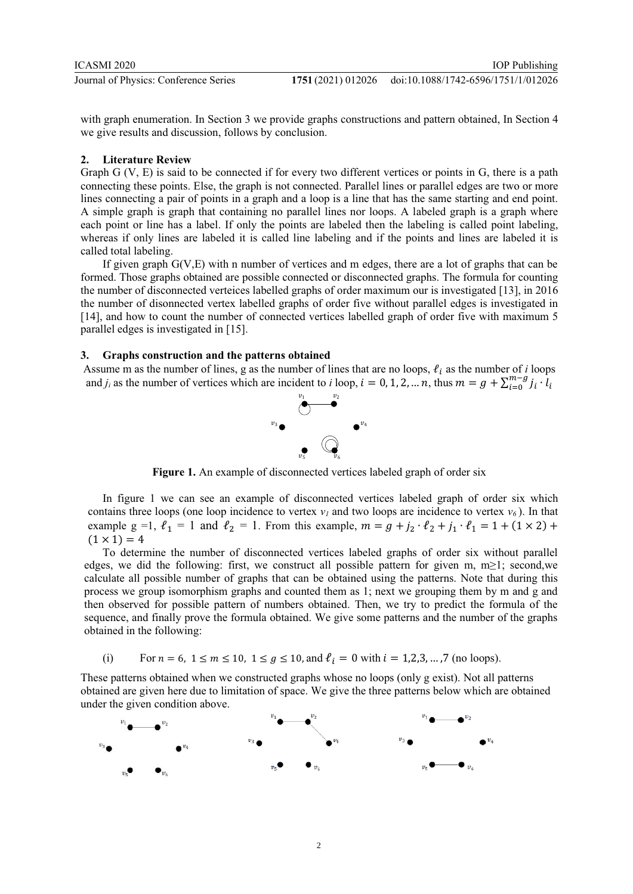with graph enumeration. In Section 3 we provide graphs constructions and pattern obtained, In Section 4 we give results and discussion, follows by conclusion.

#### **2. Literature Review**

Graph G (V, E) is said to be connected if for every two different vertices or points in G, there is a path connecting these points. Else, the graph is not connected. Parallel lines or parallel edges are two or more lines connecting a pair of points in a graph and a loop is a line that has the same starting and end point. A simple graph is graph that containing no parallel lines nor loops. A labeled graph is a graph where each point or line has a label. If only the points are labeled then the labeling is called point labeling, whereas if only lines are labeled it is called line labeling and if the points and lines are labeled it is called total labeling.

If given graph G(V,E) with n number of vertices and m edges, there are a lot of graphs that can be formed. Those graphs obtained are possible connected or disconnected graphs. The formula for counting the number of disconnected verteices labelled graphs of order maximum our is investigated [13], in 2016 the number of disonnected vertex labelled graphs of order five without parallel edges is investigated in [14], and how to count the number of connected vertices labelled graph of order five with maximum 5 parallel edges is investigated in [15].

#### **3. Graphs construction and the patterns obtained**

Assume m as the number of lines, g as the number of lines that are no loops,  $\ell_i$  as the number of *i* loops and *j<sub>i</sub>* as the number of vertices which are incident to *i* loop,  $i = 0, 1, 2, ..., n$ , thus  $m = g + \sum_{i=0}^{m-g} j_i \cdot l_i$  $i=0$ 



**Figure 1.** An example of disconnected vertices labeled graph of order six

In figure 1 we can see an example of disconnected vertices labeled graph of order six which contains three loops (one loop incidence to vertex  $v_1$  and two loops are incidence to vertex  $v_6$ ). In that example g =1,  $\ell_1 = 1$  and  $\ell_2 = 1$ . From this example,  $m = g + j_2 \cdot \ell_2 + j_1 \cdot \ell_1 = 1 + (1 \times 2) +$  $(1 \times 1) = 4$ 

 To determine the number of disconnected vertices labeled graphs of order six without parallel edges, we did the following: first, we construct all possible pattern for given m, m≥1; second,we calculate all possible number of graphs that can be obtained using the patterns. Note that during this process we group isomorphism graphs and counted them as 1; next we grouping them by m and g and then observed for possible pattern of numbers obtained. Then, we try to predict the formula of the sequence, and finally prove the formula obtained. We give some patterns and the number of the graphs obtained in the following:

(i) For  $n = 6$ ,  $1 \le m \le 10$ ,  $1 \le g \le 10$ , and  $\ell_i = 0$  with  $i = 1, 2, 3, ..., 7$  (no loops).

These patterns obtained when we constructed graphs whose no loops (only g exist). Not all patterns obtained are given here due to limitation of space. We give the three patterns below which are obtained under the given condition above.

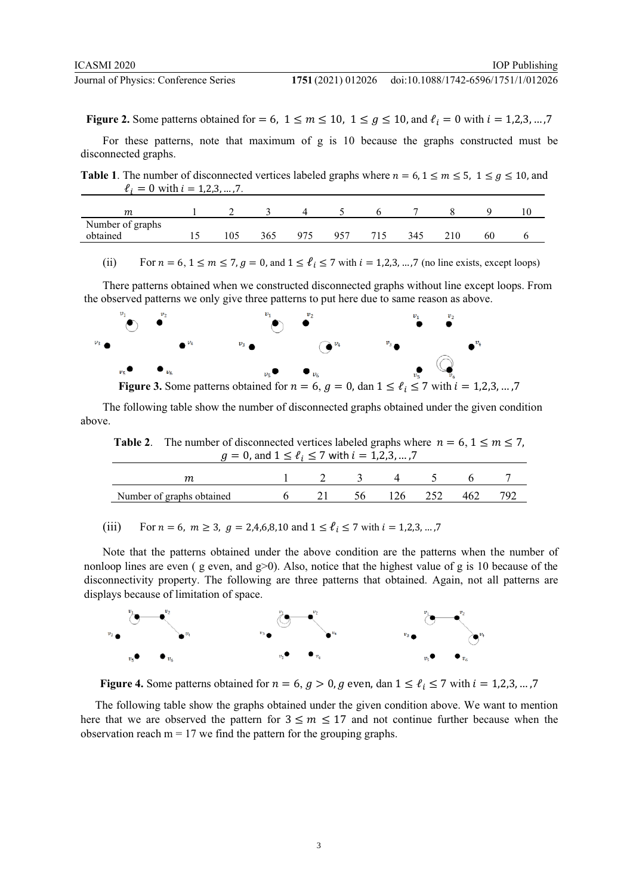doi:10.1088/1742-6596/1751/1/012026

**Figure 2.** Some patterns obtained for = 6,  $1 \le m \le 10$ ,  $1 \le g \le 10$ , and  $\ell_i = 0$  with  $i = 1,2,3,...,7$ 

For these patterns, note that maximum of g is 10 because the graphs constructed must be disconnected graphs.

**Table 1**. The number of disconnected vertices labeled graphs where  $n = 6, 1 \le m \le 5, 1 \le g \le 10$ , and  $\ell_i = 0$  with  $i = 1, 2, 3, ..., 7$ .

| т                |    |     |     |     |     |     |    |  |
|------------------|----|-----|-----|-----|-----|-----|----|--|
| Number of graphs |    |     |     |     |     |     |    |  |
| obtained         | 15 | 365 | 975 | 957 | 715 | 345 | 60 |  |
|                  |    |     |     |     |     |     |    |  |

(ii) For  $n = 6, 1 \le m \le 7, g = 0$ , and  $1 \le \ell_i \le 7$  with  $i = 1, 2, 3, \ldots, 7$  (no line exists, except loops)

There patterns obtained when we constructed disconnected graphs without line except loops. From the observed patterns we only give three patterns to put here due to same reason as above.



The following table show the number of disconnected graphs obtained under the given condition above.

**Table 2.** The number of disconnected vertices labeled graphs where  $n = 6, 1 \le m \le 7$ ,  $g = 0$ , and  $1 \le \ell_i \le 7$  with  $i = 1, 2, 3, ..., 7$ 

|                                |  | 2 3 4 5    |     |     |
|--------------------------------|--|------------|-----|-----|
| Number of graphs obtained 6 21 |  | 56 126 252 | 462 | 797 |

(iii) For  $n = 6$ ,  $m \ge 3$ ,  $q = 2,4,6,8,10$  and  $1 \le \ell_i \le 7$  with  $i = 1,2,3,...,7$ 

Note that the patterns obtained under the above condition are the patterns when the number of nonloop lines are even ( $g$  even, and  $g>0$ ). Also, notice that the highest value of g is 10 because of the disconnectivity property. The following are three patterns that obtained. Again, not all patterns are displays because of limitation of space.



**Figure 4.** Some patterns obtained for  $n = 6$ ,  $g > 0$ ,  $g$  even, dan  $1 \le \ell_i \le 7$  with  $i = 1,2,3,...,7$ 

The following table show the graphs obtained under the given condition above. We want to mention here that we are observed the pattern for  $3 \le m \le 17$  and not continue further because when the observation reach  $m = 17$  we find the pattern for the grouping graphs.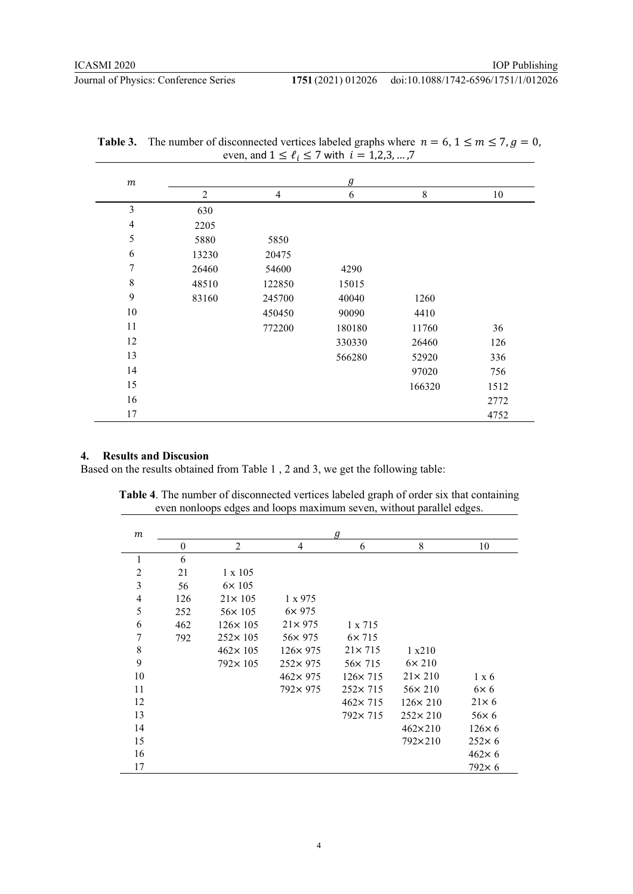**Journal of Physics: Conference Series** 

### 1751 (2021) 012026 doi:10.1088/1742-6596/1751/1/012026

| m                | $\mathfrak g$  |                |        |           |      |  |  |  |  |  |
|------------------|----------------|----------------|--------|-----------|------|--|--|--|--|--|
|                  | $\overline{2}$ | $\overline{4}$ | 6      | $\,$ $\,$ | 10   |  |  |  |  |  |
| 3                | 630            |                |        |           |      |  |  |  |  |  |
| $\overline{4}$   | 2205           |                |        |           |      |  |  |  |  |  |
| 5                | 5880           | 5850           |        |           |      |  |  |  |  |  |
| 6                | 13230          | 20475          |        |           |      |  |  |  |  |  |
| $\boldsymbol{7}$ | 26460          | 54600          | 4290   |           |      |  |  |  |  |  |
| $8\,$            | 48510          | 122850         | 15015  |           |      |  |  |  |  |  |
| 9                | 83160          | 245700         | 40040  | 1260      |      |  |  |  |  |  |
| 10               |                | 450450         | 90090  | 4410      |      |  |  |  |  |  |
| 11               |                | 772200         | 180180 | 11760     | 36   |  |  |  |  |  |
| 12               |                |                | 330330 | 26460     | 126  |  |  |  |  |  |
| 13               |                |                | 566280 | 52920     | 336  |  |  |  |  |  |
| 14               |                |                |        | 97020     | 756  |  |  |  |  |  |
| 15               |                |                |        | 166320    | 1512 |  |  |  |  |  |
| 16               |                |                |        |           | 2772 |  |  |  |  |  |
| 17               |                |                |        |           | 4752 |  |  |  |  |  |

| <b>Table 3.</b> The number of disconnected vertices labeled graphs where $n = 6, 1 \le m \le 7, g = 0$ , |
|----------------------------------------------------------------------------------------------------------|
| even, and $1 \le \ell_i \le 7$ with $i = 1, 2, 3, , 7$                                                   |

### **4. Results and Discusion**

Based on the results obtained from Table 1 , 2 and 3, we get the following table:

| $\boldsymbol{m}$ | g            |                  |                  |                  |                  |               |  |  |  |  |  |  |
|------------------|--------------|------------------|------------------|------------------|------------------|---------------|--|--|--|--|--|--|
|                  | $\mathbf{0}$ | $\overline{2}$   | 4                | 6                | 8                | 10            |  |  |  |  |  |  |
| 1                | 6            |                  |                  |                  |                  |               |  |  |  |  |  |  |
| $\overline{2}$   | 21           | $1 \times 105$   |                  |                  |                  |               |  |  |  |  |  |  |
| 3                | 56           | $6\times 105$    |                  |                  |                  |               |  |  |  |  |  |  |
| 4                | 126          | $21 \times 105$  | $1 \times 975$   |                  |                  |               |  |  |  |  |  |  |
| 5                | 252          | $56 \times 105$  | $6\times 975$    |                  |                  |               |  |  |  |  |  |  |
| 6                | 462          | $126 \times 105$ | $21 \times 975$  | $1 \times 715$   |                  |               |  |  |  |  |  |  |
| 7                | 792          | $252 \times 105$ | 56×975           | $6\times 715$    |                  |               |  |  |  |  |  |  |
| 8                |              | $462 \times 105$ | $126 \times 975$ | $21 \times 715$  | 1 x210           |               |  |  |  |  |  |  |
| 9                |              | $792 \times 105$ | $252 \times 975$ | $56 \times 715$  | $6\times 210$    |               |  |  |  |  |  |  |
| 10               |              |                  | $462 \times 975$ | $126 \times 715$ | $21 \times 210$  | $1 \times 6$  |  |  |  |  |  |  |
| 11               |              |                  | 792×975          | $252 \times 715$ | $56 \times 210$  | $6\times 6$   |  |  |  |  |  |  |
| 12               |              |                  |                  | $462 \times 715$ | $126 \times 210$ | $21\times 6$  |  |  |  |  |  |  |
| 13               |              |                  |                  | $792 \times 715$ | $252 \times 210$ | $56\times 6$  |  |  |  |  |  |  |
| 14               |              |                  |                  |                  | $462\times210$   | $126\times 6$ |  |  |  |  |  |  |
| 15               |              |                  |                  |                  | 792×210          | $252\times 6$ |  |  |  |  |  |  |
| 16               |              |                  |                  |                  |                  | $462\times 6$ |  |  |  |  |  |  |
| 17               |              |                  |                  |                  |                  | $792\times 6$ |  |  |  |  |  |  |

**Table 4**. The number of disconnected vertices labeled graph of order six that containing even nonloops edges and loops maximum seven, without parallel edges.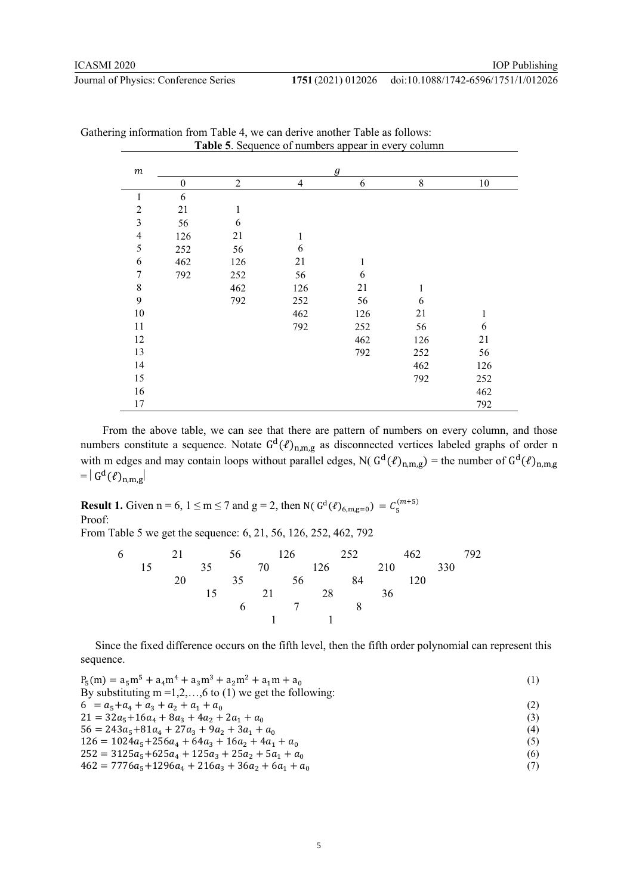#### doi:10.1088/1742-6596/1751/1/012026

| $\boldsymbol{m}$         | g                |                |                |              |              |              |  |  |  |  |  |  |
|--------------------------|------------------|----------------|----------------|--------------|--------------|--------------|--|--|--|--|--|--|
|                          | $\boldsymbol{0}$ | $\overline{c}$ | $\overline{4}$ | 6            | $\,8\,$      | $10\,$       |  |  |  |  |  |  |
| $\,1$                    | 6                |                |                |              |              |              |  |  |  |  |  |  |
| $\overline{c}$           | 21               | $\mathbf{1}$   |                |              |              |              |  |  |  |  |  |  |
| $\overline{\mathbf{3}}$  | 56               | 6              |                |              |              |              |  |  |  |  |  |  |
| $\overline{\mathcal{L}}$ | 126              | 21             | 1              |              |              |              |  |  |  |  |  |  |
| 5                        | 252              | 56             | 6              |              |              |              |  |  |  |  |  |  |
| 6                        | 462              | 126            | 21             | $\mathbf{1}$ |              |              |  |  |  |  |  |  |
| $\boldsymbol{7}$         | 792              | 252            | 56             | 6            |              |              |  |  |  |  |  |  |
| $\,$ $\,$                |                  | 462            | 126            | 21           | $\mathbf{1}$ |              |  |  |  |  |  |  |
| $\overline{9}$           |                  | 792            | 252            | 56           | 6            |              |  |  |  |  |  |  |
| $10\,$                   |                  |                | 462            | 126          | 21           | $\mathbf{1}$ |  |  |  |  |  |  |
| 11                       |                  |                | 792            | 252          | 56           | 6            |  |  |  |  |  |  |
| 12                       |                  |                |                | 462          | 126          | 21           |  |  |  |  |  |  |
| 13                       |                  |                |                | 792          | 252          | 56           |  |  |  |  |  |  |
| 14                       |                  |                |                |              | 462          | 126          |  |  |  |  |  |  |
| 15                       |                  |                |                |              | 792          | 252          |  |  |  |  |  |  |
| 16                       |                  |                |                |              |              | 462          |  |  |  |  |  |  |
| 17                       |                  |                |                |              |              | 792          |  |  |  |  |  |  |

| Gathering information from Table 4, we can derive another Table as follows: |  |  |  |                                                     |
|-----------------------------------------------------------------------------|--|--|--|-----------------------------------------------------|
|                                                                             |  |  |  | Table 5. Sequence of numbers appear in every column |

 From the above table, we can see that there are pattern of numbers on every column, and those numbers constitute a sequence. Notate  $G^d(\ell)_{n,m,g}$  as disconnected vertices labeled graphs of order n with m edges and may contain loops without parallel edges, N( $G<sup>d</sup>(l)<sub>n,m,g</sub>$ ) = the number of  $G<sup>d</sup>(l)<sub>n,m,g</sub>$  $= | G<sup>d</sup>(\ell)_{n,m,g} |$ 

**Result 1.** Given  $n = 6$ ,  $1 \le m \le 7$  and  $g = 2$ , then N(  $G<sup>d</sup>(\ell)_{6,m,g=0} = C_5^{(m+5)}$ Proof:

From Table 5 we get the sequence: 6, 21, 56, 126, 252, 462, 792

|  |               |  |                     | 6 21 56 126 252 | 462 |     | 792. |
|--|---------------|--|---------------------|-----------------|-----|-----|------|
|  | $15$ and $15$ |  |                     | 35 70 126 210   |     | 330 |      |
|  |               |  |                     | 20 35 56 84 120 |     |     |      |
|  |               |  |                     | 15 21 28 36     |     |     |      |
|  |               |  | 6 7 8               |                 |     |     |      |
|  |               |  | $1 \qquad 1 \qquad$ |                 |     |     |      |

Since the fixed difference occurs on the fifth level, then the fifth order polynomial can represent this sequence.

| $P_5(m) = a_5m^5 + a_4m^4 + a_3m^3 + a_2m^2 + a_1m + a_0$          | (1) |
|--------------------------------------------------------------------|-----|
| By substituting $m = 1, 2, \ldots, 6$ to (1) we get the following: |     |
| $6 = a_5 + a_4 + a_3 + a_2 + a_1 + a_0$                            |     |
| $21 = 32a_5 + 16a_4 + 8a_3 + 4a_2 + 2a_1 + a_0$                    | (3) |
| $56 = 243a_5 + 81a_4 + 27a_3 + 9a_2 + 3a_1 + a_0$                  | (4) |
| $126 = 1024a_5 + 256a_4 + 64a_3 + 16a_2 + 4a_1 + a_0$              | (5) |
| $252 = 3125a_5 + 625a_4 + 125a_3 + 25a_2 + 5a_1 + a_0$             | (6) |
| $462 = 7776a_5 + 1296a_4 + 216a_3 + 36a_2 + 6a_1 + a_0$            | (7) |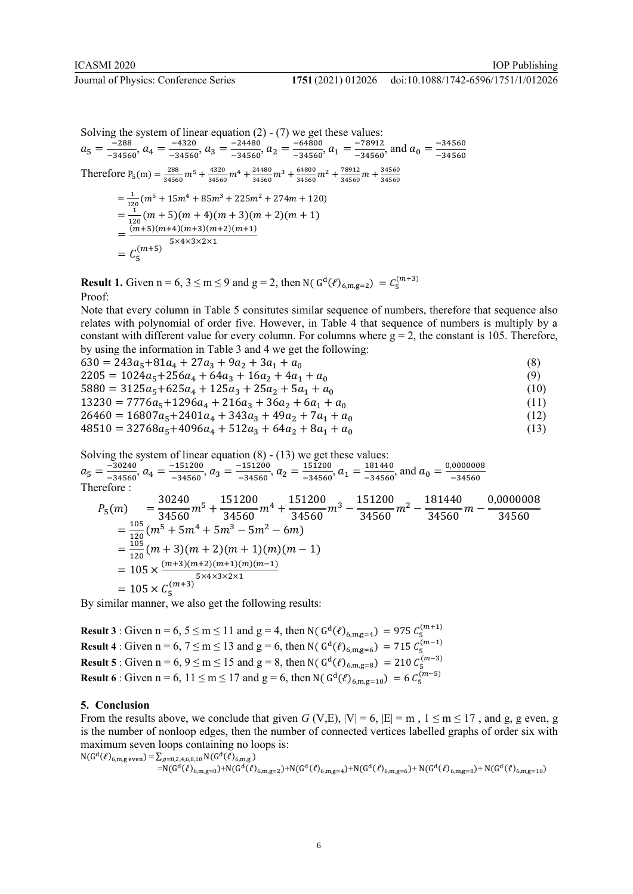Solving the system of linear equation  $(2) - (7)$  we get these values:  $a_5 = \frac{288}{-34560}, a_4 = \frac{-4320}{-34560}, a_3 = \frac{-24480}{-34560}, a_2 = \frac{-64800}{-34560}, a_1 = \frac{-78912}{-34560}, \text{ and } a_0 = \frac{-34560}{-34560}$ Therefore  $P_5(m) = \frac{288}{34560}m^5 + \frac{4320}{34560}m^4 + \frac{24480}{34560}m^3 + \frac{64800}{34560}m^2 + \frac{78912}{34560}m + \frac{34560}{34560}m$  $=\frac{1}{120}(m^5+15m^4+85m^3+225m^2+274m+120)$  $=\frac{11}{120}(m+5)(m+4)(m+3)(m+2)(m+1)$  $=\frac{(m+5)(m+4)(m+3)(m+2)(m+1)}{5\times4\times3\times2\times1}$  $=C_5^{(m+5)}$ 

**Result 1.** Given  $n = 6, 3 \le m \le 9$  and  $g = 2$ , then N(  $G<sup>d</sup>(\ell)_{6,m,g=2} = C_5^{(m+3)}$ Proof:

Note that every column in Table 5 consitutes similar sequence of numbers, therefore that sequence also relates with polynomial of order five. However, in Table 4 that sequence of numbers is multiply by a constant with different value for every column. For columns where  $g = 2$ , the constant is 105. Therefore, by using the information in Table 3 and 4 we get the following:

 $630 = 243a_5 + 81a_4 + 27a_3 + 9a_2 + 3a_1 + a_0$  (8)  $2205 = 1024a_5 + 256a_4 + 64a_3 + 16a_2 + 4a_1 + a_0$  (9)  $5880 = 3125a_5 + 625a_4 + 125a_3 + 25a_2 + 5a_1 + a_0$  (10)  $13230 = 7776a_5 + 1296a_4 + 216a_3 + 36a_2 + 6a_1 + a_0$  (11)  $26460 = 16807a_5 + 2401a_4 + 343a_3 + 49a_2 + 7a_1 + a_0$  (12)  $48510 = 32768a_5 + 4096a_4 + 512a_3 + 64a_2 + 8a_1 + a_0$  (13)

Solving the system of linear equation  $(8) - (13)$  we get these values:  $a_5 = \frac{30240}{-34560}$ ,  $a_4 = \frac{-151200}{-34560}$ ,  $a_3 = \frac{-151200}{-34560}$ ,  $a_2 = \frac{151200}{-34560}$ ,  $a_1 = \frac{181440}{-34560}$ , and  $a_0 = \frac{0,0000008}{-34560}$ Therefore : 30240  $151200$  $151200$ <sup>34560</sup> <sup>−</sup> <sup>181440</sup> 0,000000

$$
P_5(m) = \frac{30240}{34560}m^5 + \frac{151200}{34560}m^4 + \frac{151200}{34560}m^3 - \frac{151200}{34560}m^2 - \frac{181440}{34560}m - \frac{0,0000008}{34560}
$$
  
=  $\frac{105}{120}(m^5 + 5m^4 + 5m^3 - 5m^2 - 6m)$   
=  $\frac{105}{120}(m + 3)(m + 2)(m + 1)(m)(m - 1)$   
=  $105 \times \frac{(m+3)(m+2)(m+1)(m)(m-1)}{5 \times 4 \times 3 \times 2 \times 1}$   
=  $105 \times C_5^{(m+3)}$ 

By similar manner, we also get the following results:

**Result 3** : Given  $n = 6, 5 \le m \le 11$  and  $g = 4$ , then N( $G<sup>d</sup>(l)<sub>6,m,g=4</sub>$ ) = 975  $C_5^{(m+1)}$ **Result 4** : Given  $n = 6, 7 \le m \le 13$  and  $g = 6$ , then N( $G<sup>d</sup>(l)<sub>6, m, g=6</sub>$ ) = 715  $C<sub>5</sub><sup>(m-1)</sup>$ **Result 5** : Given  $n = 6, 9 \le m \le 15$  and  $g = 8$ , then N( $G<sup>d</sup>(l)<sub>6,m,g=8</sub>$ ) = 210  $C<sub>5</sub><sup>(m-3)</sup>$ **Result 6** : Given  $n = 6$ ,  $11 \le m \le 17$  and  $g = 6$ , then N(  $G<sup>d</sup>(\ell)_{6,m,g=10}$ ) = 6  $C_5^{(m-5)}$ 

#### **5. Conclusion**

From the results above, we conclude that given *G* (V,E),  $|V| = 6$ ,  $|E| = m$ ,  $1 \le m \le 17$ , and g, g even, g is the number of nonloop edges, then the number of connected vertices labelled graphs of order six with maximum seven loops containing no loops is:  $N(G^d(\ell)_{6,m,g \text{ even}}) = \sum_{g=0,2,4,6,8,10} N(G^d(\ell)_{6,m,g})$ 

 $=N(G^d(\ell)_{6,m,g=0})+N(G^d(\ell)_{6,m,g=2})+N(G^d(\ell)_{6,m,g=4})+N(G^d(\ell)_{6,m,g=6})+N(G^d(\ell)_{6,m,g=8})+N(G^d(\ell)_{6,m,g=10})$